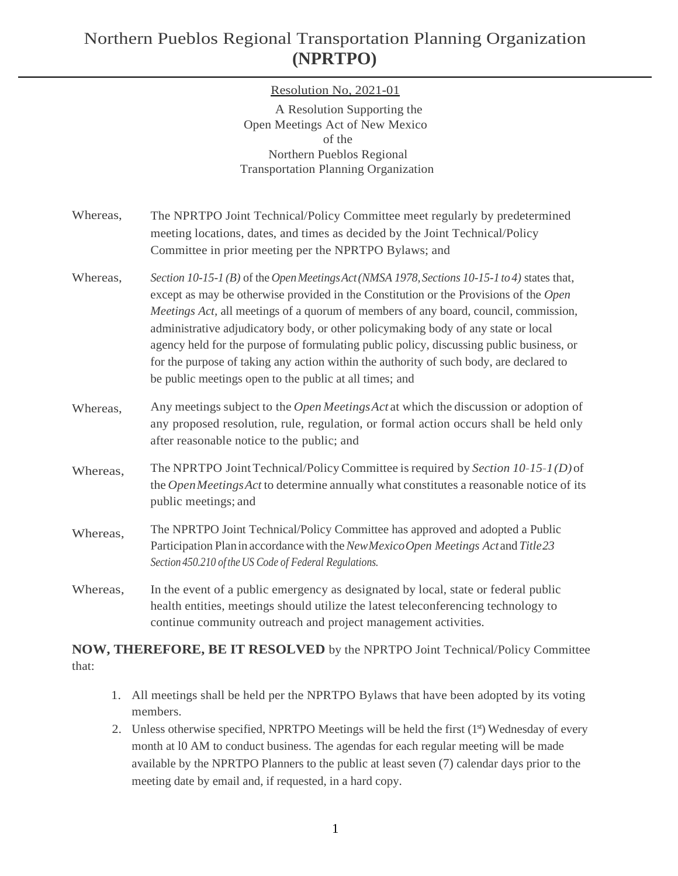# Northern Pueblos Regional Transportation Planning Organization **(NPRTPO)**

### Resolution No, 2021-01

A Resolution Supporting the Open Meetings Act of New Mexico of the Northern Pueblos Regional Transportation Planning Organization

- Whereas, The NPRTPO Joint Technical/Policy Committee meet regularly by predetermined meeting locations, dates, and times as decided by the Joint Technical/Policy Committee in prior meeting per the NPRTPO Bylaws; and
- Whereas, *Section*  $10-15-1$  *(B)* of the *Open Meetings Act* (*NMSA* 1978, *Sections*  $10-15-1$  *to 4*) states that, except as may be otherwise provided in the Constitution or the Provisions of the *Open Meetings Act, all meetings of a quorum of members of any board, council, commission,* administrative adjudicatory body, or other policymaking body of any state or local agency held for the purpose of formulating public policy, discussing public business, or for the purpose of taking any action within the authority of such body, are declared to be public meetings open to the public at all times; and
- Whereas, Any meetings subject to the *Open MeetingsAct* at which the discussion or adoption of any proposed resolution, rule, regulation, or formal action occurs shall be held only after reasonable notice to the public; and
- Whereas, The NPRTPO JointTechnical/PolicyCommittee isrequired by *Section 10-15-1(D)*of the *OpenMeetingsAct* to determine annually what constitutes a reasonable notice of its public meetings; and
- Whereas, The NPRTPO Joint Technical/Policy Committee has approved and adopted a Public Participation Planin accordancewith the*NewMexicoOpen Meetings Act* and *Title23 Section 450.210 oftheUS Code of Federal Regulations.*
- Whereas, In the event of a public emergency as designated by local, state or federal public health entities, meetings should utilize the latest teleconferencing technology to continue community outreach and project management activities.

### **NOW, THEREFORE, BE IT RESOLVED** by the NPRTPO Joint Technical/Policy Committee that:

- 1. All meetings shall be held per the NPRTPO Bylaws that have been adopted by its voting members.
- 2. Unless otherwise specified, NPRTPO Meetings will be held the first  $(1<sup>s</sup>)$  Wednesday of every month at l0 AM to conduct business. The agendas for each regular meeting will be made available by the NPRTPO Planners to the public at least seven (7) calendar days prior to the meeting date by email and, if requested, in a hard copy.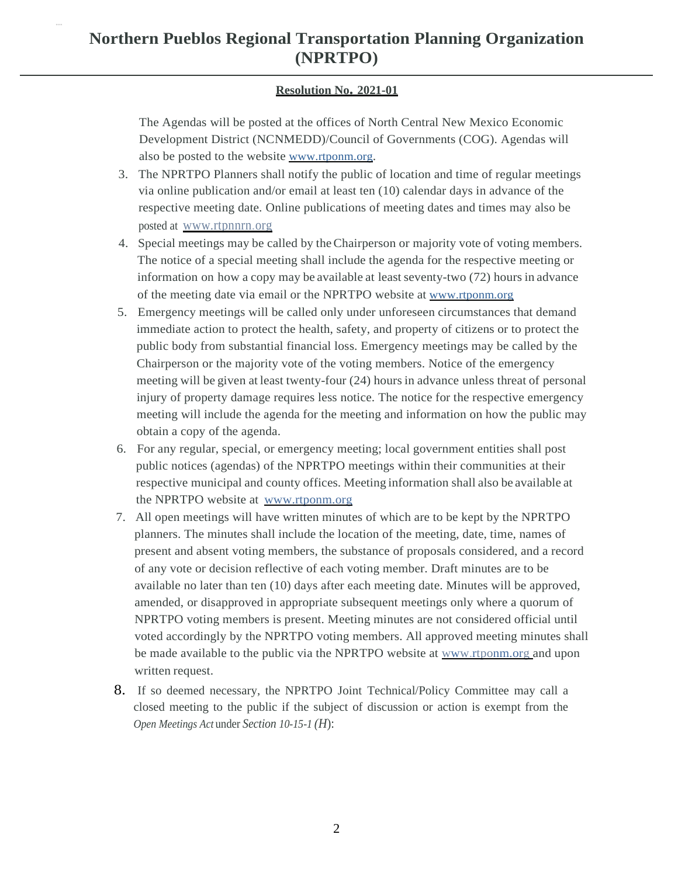## **Northern Pueblos Regional Transportation Planning Organization (NPRTPO)**

#### **Resolution No. 2021-01**

The Agendas will be posted at the offices of North Central New Mexico Economic Development District (NCNMEDD)/Council of Governments (COG). Agendas will also be posted to the website [www.rtponm.org.](http://www.rtponm.org/)

- 3. The NPRTPO Planners shall notify the public of location and time of regular meetings via online publication and/or email at least ten (10) calendar days in advance of the respective meeting date. Online publications of meeting dates and times may also be posted at www.rtpnnrn.org
- 4. Special meetings may be called by theChairperson or majority vote of voting members. The notice of a special meeting shall include the agenda for the respective meeting or information on how a copy may be available at least seventy-two (72) hours in advance of the meeting date via email or the NPRTPO website at [www.rtponm.org](http://www.rtponm.org/)
- 5. Emergency meetings will be called only under unforeseen circumstances that demand immediate action to protect the health, safety, and property of citizens or to protect the public body from substantial financial loss. Emergency meetings may be called by the Chairperson or the majority vote of the voting members. Notice of the emergency meeting will be given at least twenty-four (24) hours in advance unless threat of personal injury of property damage requires less notice. The notice for the respective emergency meeting will include the agenda for the meeting and information on how the public may obtain a copy of the agenda.
- 6. For any regular, special, or emergency meeting; local government entities shall post public notices (agendas) of the NPRTPO meetings within their communities at their respective municipal and county offices. Meeting information shall also be available at the NPRTPO website at [www.rtponm.org](http://www.rtponm.org/)
- 7. All open meetings will have written minutes of which are to be kept by the NPRTPO planners. The minutes shall include the location of the meeting, date, time, names of present and absent voting members, the substance of proposals considered, and a record of any vote or decision reflective of each voting member. Draft minutes are to be available no later than ten (10) days after each meeting date. Minutes will be approved, amended, or disapproved in appropriate subsequent meetings only where a quorum of NPRTPO voting members is present. Meeting minutes are not considered official until voted accordingly by the NPRTPO voting members. All approved meeting minutes shall be made available to the public via the NPRTPO website at [www.rtponm.org a](http://www.rtponm.org/)nd upon written request.
- 8. If so deemed necessary, the NPRTPO Joint Technical/Policy Committee may call a closed meeting to the public if the subject of discussion or action is exempt from the *Open Meetings Act* under *Section 10-15-1 (H*):